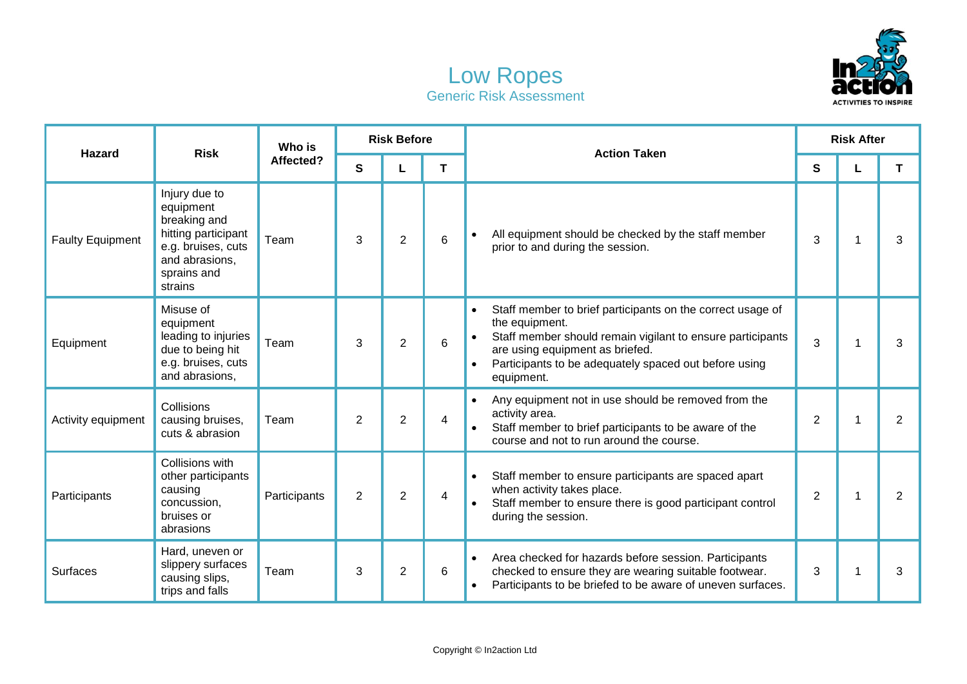



| Hazard                  | <b>Risk</b>                                                                                                                         | Who is<br>Affected? | <b>Risk Before</b> |                |   | <b>Action Taken</b>                                                                                                                                                                                                                                                            | <b>Risk After</b> |   |                |
|-------------------------|-------------------------------------------------------------------------------------------------------------------------------------|---------------------|--------------------|----------------|---|--------------------------------------------------------------------------------------------------------------------------------------------------------------------------------------------------------------------------------------------------------------------------------|-------------------|---|----------------|
|                         |                                                                                                                                     |                     | S                  | L              | т |                                                                                                                                                                                                                                                                                | S                 |   | T.             |
| <b>Faulty Equipment</b> | Injury due to<br>equipment<br>breaking and<br>hitting participant<br>e.g. bruises, cuts<br>and abrasions,<br>sprains and<br>strains | Team                | 3                  | $\overline{2}$ | 6 | All equipment should be checked by the staff member<br>$\bullet$<br>prior to and during the session.                                                                                                                                                                           | 3                 |   | 3              |
| Equipment               | Misuse of<br>equipment<br>leading to injuries<br>due to being hit<br>e.g. bruises, cuts<br>and abrasions,                           | Team                | 3                  | $\overline{2}$ | 6 | Staff member to brief participants on the correct usage of<br>the equipment.<br>Staff member should remain vigilant to ensure participants<br>$\bullet$<br>are using equipment as briefed.<br>Participants to be adequately spaced out before using<br>$\bullet$<br>equipment. | 3                 |   | 3              |
| Activity equipment      | Collisions<br>causing bruises,<br>cuts & abrasion                                                                                   | Team                | 2                  | $\overline{2}$ | 4 | Any equipment not in use should be removed from the<br>$\bullet$<br>activity area.<br>Staff member to brief participants to be aware of the<br>course and not to run around the course.                                                                                        | $\overline{2}$    | 1 | $\overline{2}$ |
| Participants            | Collisions with<br>other participants<br>causing<br>concussion,<br>bruises or<br>abrasions                                          | Participants        | $\overline{2}$     | $\overline{2}$ | 4 | Staff member to ensure participants are spaced apart<br>when activity takes place.<br>Staff member to ensure there is good participant control<br>during the session.                                                                                                          | $\overline{2}$    | 1 | $\overline{2}$ |
| Surfaces                | Hard, uneven or<br>slippery surfaces<br>causing slips,<br>trips and falls                                                           | Team                | 3                  | $\overline{2}$ | 6 | Area checked for hazards before session. Participants<br>$\bullet$<br>checked to ensure they are wearing suitable footwear.<br>Participants to be briefed to be aware of uneven surfaces.                                                                                      | 3                 | 1 | 3              |